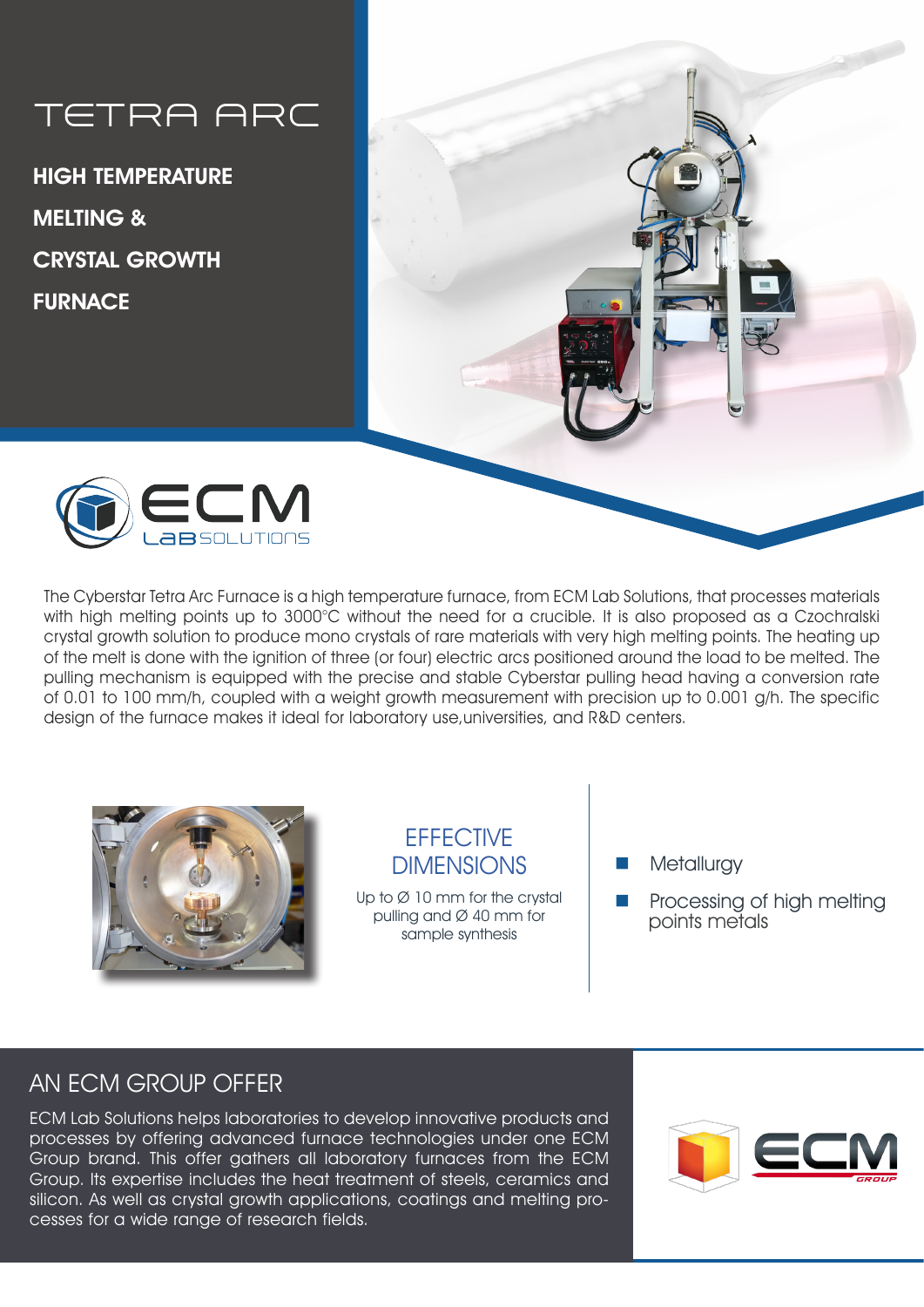# TETRA ARC

HIGH TEMPERATURE MELTING & CRYSTAL GROWTH **FURNACE** 





The Cyberstar Tetra Arc Furnace is a high temperature furnace, from ECM Lab Solutions, that processes materials with high melting points up to 3000°C without the need for a crucible. It is also proposed as a Czochralski crystal growth solution to produce mono crystals of rare materials with very high melting points. The heating up of the melt is done with the ignition of three (or four) electric arcs positioned around the load to be melted. The pulling mechanism is equipped with the precise and stable Cyberstar pulling head having a conversion rate of 0.01 to 100 mm/h, coupled with a weight growth measurement with precision up to 0.001 g/h. The specific design of the furnace makes it ideal for laboratory use,universities, and R&D centers.



#### **EFFECTIVE** DIMENSIONS

Up to  $\varnothing$  10 mm for the crystal pulling and Ø 40 mm for sample synthesis

**Metallurgy** 

Processing of high melting points metals

# AN ECM GROUP OFFER

ECM Lab Solutions helps laboratories to develop innovative products and processes by offering advanced furnace technologies under one ECM Group brand. This offer gathers all laboratory furnaces from the ECM Group. Its expertise includes the heat treatment of steels, ceramics and silicon. As well as crystal growth applications, coatings and melting processes for a wide range of research fields.